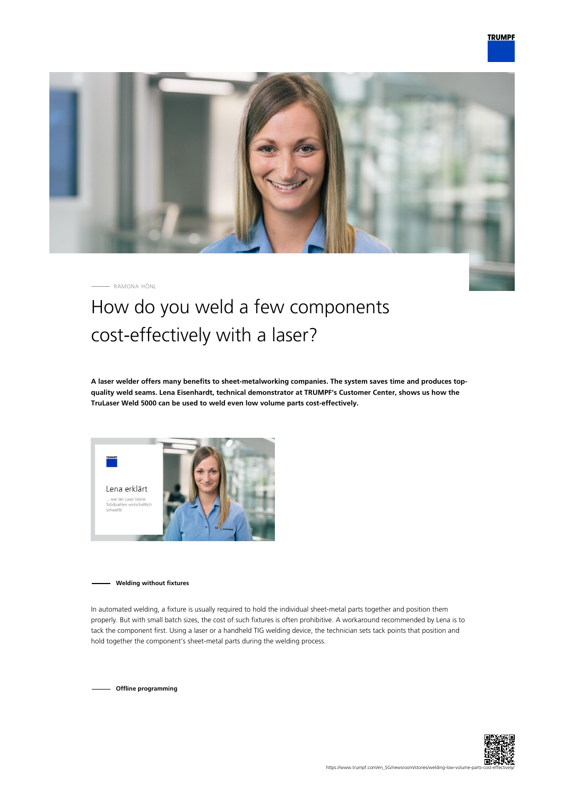

RAMONA HÖNL

## How do you weld a few components cost-effectively with a laser?

**A laser welder offers many benefits to sheet-metalworking companies. The system saves time and produces topquality weld seams. Lena Eisenhardt, technical demonstrator at TRUMPF's Customer Center, shows us how the TruLaser Weld 5000 can be used to weld even low volume parts cost-effectively.**



**Welding without fixtures**

In automated welding, a fixture is usually required to hold the individual sheet-metal parts together and position them properly. But with small batch sizes, the cost of such fixtures is often prohibitive. A workaround recommended by Lena is to tack the component first. Using a laser or a handheld TIG welding device, the technician sets tack points that position and hold together the component's sheet-metal parts during the welding process.

**Offline programming**